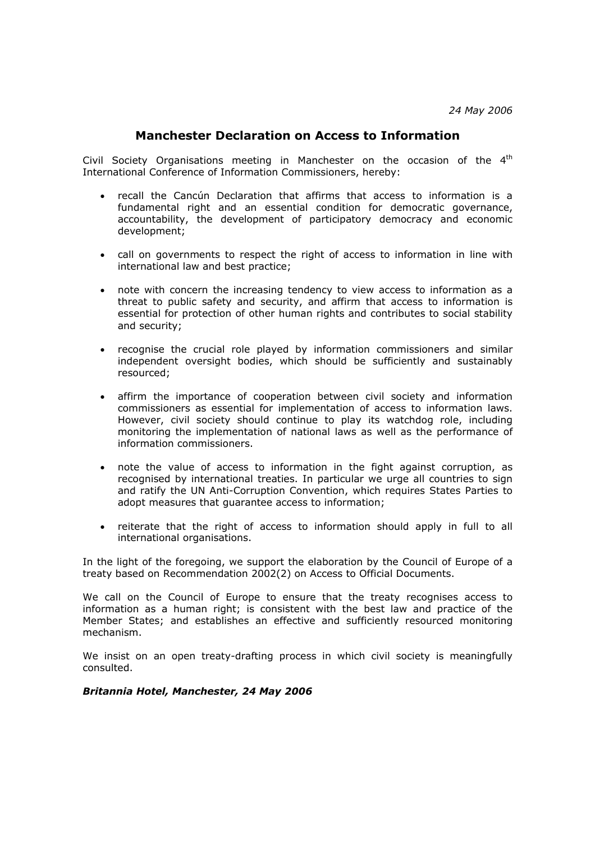## **Manchester Declaration on Access to Information**

Civil Society Organisations meeting in Manchester on the occasion of the  $4<sup>th</sup>$ International Conference of Information Commissioners, hereby:

- recall the Cancún Declaration that affirms that access to information is a fundamental right and an essential condition for democratic governance, accountability, the development of participatory democracy and economic development;
- call on governments to respect the right of access to information in line with international law and best practice;
- note with concern the increasing tendency to view access to information as a threat to public safety and security, and affirm that access to information is essential for protection of other human rights and contributes to social stability and security;
- recognise the crucial role played by information commissioners and similar independent oversight bodies, which should be sufficiently and sustainably resourced;
- affirm the importance of cooperation between civil society and information commissioners as essential for implementation of access to information laws. However, civil society should continue to play its watchdog role, including monitoring the implementation of national laws as well as the performance of information commissioners.
- note the value of access to information in the fight against corruption, as recognised by international treaties. In particular we urge all countries to sign and ratify the UN Anti-Corruption Convention, which requires States Parties to adopt measures that guarantee access to information;
- reiterate that the right of access to information should apply in full to all international organisations.

In the light of the foregoing, we support the elaboration by the Council of Europe of a treaty based on Recommendation 2002(2) on Access to Official Documents.

We call on the Council of Europe to ensure that the treaty recognises access to information as a human right; is consistent with the best law and practice of the Member States; and establishes an effective and sufficiently resourced monitoring mechanism.

We insist on an open treaty-drafting process in which civil society is meaningfully consulted.

## *Britannia Hotel, Manchester, 24 May 2006*